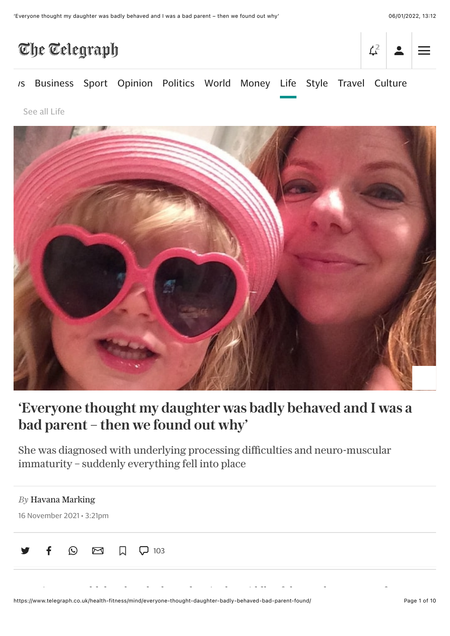<span id="page-0-0"></span>



Is [Business](https://www.telegraph.co.uk/business/) [Sport](https://www.telegraph.co.uk/sport/) [Opinion](https://www.telegraph.co.uk/opinion/) [Politics](https://www.telegraph.co.uk/politics/) [World](https://www.telegraph.co.uk/world-news/) [Money](https://www.telegraph.co.uk/money/) [Life](https://www.telegraph.co.uk/lifestyle/) [Style](https://www.telegraph.co.uk/style/) [Travel](https://www.telegraph.co.uk/travel/) [Culture](https://www.telegraph.co.uk/culture/)

[See all Life](https://www.telegraph.co.uk/all-sections#life)



## **'Everyone thought my daughter was badly behaved and I was a bad parent – then we found out why'**

She was diagnosed with underlying processing difficulties and neuro-muscular immaturity – suddenly everything fell into place

| By Havana Marking | 16 November 2021 · 3:21pm |                                                         |  |  |  |  |
|-------------------|---------------------------|---------------------------------------------------------|--|--|--|--|
|                   |                           | $\triangleright$ f $\odot$ $\boxtimes$ $\Box$ $\Box$ 03 |  |  |  |  |
|                   |                           |                                                         |  |  |  |  |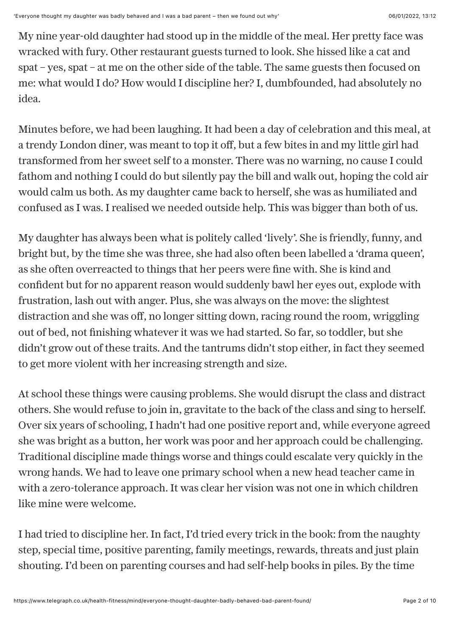My nine year-old daughter had stood up in the middle of the meal. Her pretty face was wracked with fury. Other restaurant guests turned to look. She hissed like a cat and spat – yes, spat – at me on the other side of the table. The same guests then focused on me: what would I do? How would I discipline her? I, dumbfounded, had absolutely no idea.

Minutes before, we had been laughing. It had been a day of celebration and this meal, at a trendy London diner, was meant to top it off, but a few bites in and my little girl had transformed from her sweet self to a monster. There was no warning, no cause I could fathom and nothing I could do but silently pay the bill and walk out, hoping the cold air would calm us both. As my daughter came back to herself, she was as humiliated and confused as I was. I realised we needed outside help. This was bigger than both of us.

My daughter has always been what is politely called 'lively'. She is friendly, funny, and bright but, by the time she was three, she had also often been labelled a 'drama queen', as she often overreacted to things that her peers were fine with. She is kind and confident but for no apparent reason would suddenly bawl her eyes out, explode with frustration, lash out with anger. Plus, she was always on the move: the slightest distraction and she was off, no longer sitting down, racing round the room, wriggling out of bed, not finishing whatever it was we had started. So far, so toddler, but she didn't grow out of these traits. And the tantrums didn't stop either, in fact they seemed to get more violent with her increasing strength and size.

At school these things were causing problems. She would disrupt the class and distract others. She would refuse to join in, gravitate to the back of the class and sing to herself. Over six years of schooling, I hadn't had one positive report and, while everyone agreed she was bright as a button, her work was poor and her approach could be challenging. Traditional discipline made things worse and things could escalate very quickly in the wrong hands. We had to leave one primary school when a new head teacher came in with a zero-tolerance approach. It was clear her vision was not one in which children like mine were welcome.

I had tried to discipline her. In fact, I'd tried every trick in the book: from the naughty step, special time, positive parenting, family meetings, rewards, threats and just plain shouting. I'd been on parenting courses and had self-help books in piles. By the time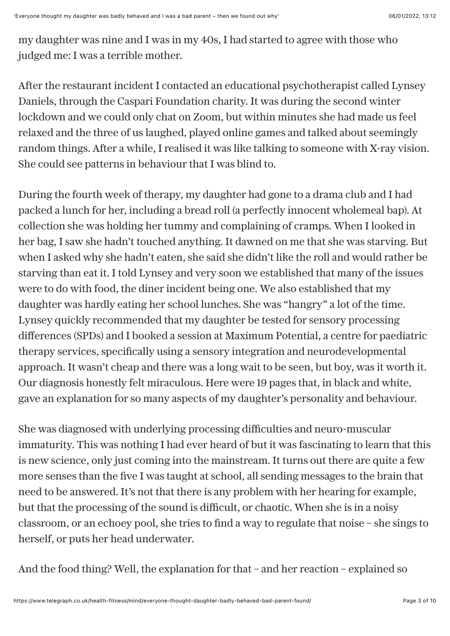my daughter was nine and I was in my 40s, I had started to agree with those who judged me: I was a terrible mother.

After the restaurant incident I contacted an educational psychotherapist called Lynsey Daniels, through the Caspari Foundation charity. It was during the second winter lockdown and we could only chat on Zoom, but within minutes she had made us feel relaxed and the three of us laughed, played online games and talked about seemingly random things. After a while, I realised it was like talking to someone with X-ray vision. She could see patterns in behaviour that I was blind to.

During the fourth week of therapy, my daughter had gone to a drama club and I had packed a lunch for her, including a bread roll (a perfectly innocent wholemeal bap). At collection she was holding her tummy and complaining of cramps. When I looked in her bag, I saw she hadn't touched anything. It dawned on me that she was starving. But when I asked why she hadn't eaten, she said she didn't like the roll and would rather be starving than eat it. I told Lynsey and very soon we established that many of the issues were to do with food, the diner incident being one. We also established that my daughter was hardly eating her school lunches. She was "hangry" a lot of the time. Lynsey quickly recommended that my daughter be tested for sensory processing diFerences (SPDs) and I booked a session at Maximum Potential, a centre for paediatric therapy services, specifically using a sensory integration and neurodevelopmental approach. It wasn't cheap and there was a long wait to be seen, but boy, was it worth it. Our diagnosis honestly felt miraculous. Here were 19 pages that, in black and white, gave an explanation for so many aspects of my daughter's personality and behaviour.

She was diagnosed with underlying processing difficulties and neuro-muscular immaturity. This was nothing I had ever heard of but it was fascinating to learn that this is new science, only just coming into the mainstream. It turns out there are quite a few more senses than the five I was taught at school, all sending messages to the brain that need to be answered. It's not that there is any problem with her hearing for example, but that the processing of the sound is difficult, or chaotic. When she is in a noisy classroom, or an echoey pool, she tries to find a way to regulate that noise – she sings to herself, or puts her head underwater.

And the food thing? Well, the explanation for that – and her reaction – explained so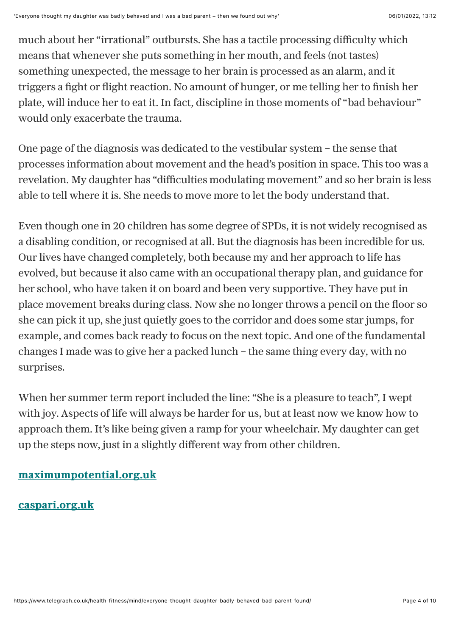much about her "irrational" outbursts. She has a tactile processing difficulty which means that whenever she puts something in her mouth, and feels (not tastes) something unexpected, the message to her brain is processed as an alarm, and it triggers a fight or flight reaction. No amount of hunger, or me telling her to finish her plate, will induce her to eat it. In fact, discipline in those moments of "bad behaviour" would only exacerbate the trauma.

One page of the diagnosis was dedicated to the vestibular system – the sense that processes information about movement and the head's position in space. This too was a revelation. My daughter has "difficulties modulating movement" and so her brain is less able to tell where it is. She needs to move more to let the body understand that.

Even though one in 20 children has some degree of SPDs, it is not widely recognised as a disabling condition, or recognised at all. But the diagnosis has been incredible for us. Our lives have changed completely, both because my and her approach to life has evolved, but because it also came with an occupational therapy plan, and guidance for her school, who have taken it on board and been very supportive. They have put in place movement breaks during class. Now she no longer throws a pencil on the floor so she can pick it up, she just quietly goes to the corridor and does some star jumps, for example, and comes back ready to focus on the next topic. And one of the fundamental changes I made was to give her a packed lunch – the same thing every day, with no surprises.

When her summer term report included the line: "She is a pleasure to teach", I wept with joy. Aspects of life will always be harder for us, but at least now we know how to approach them. It's like being given a ramp for your wheelchair. My daughter can get up the steps now, just in a slightly diFerent way from other children.

## maximumpotential.org.uk [maximumpotential.org.uk](https://maximumpotential.org.uk/)

## [caspari.org.uk](https://www.caspari.org.uk/)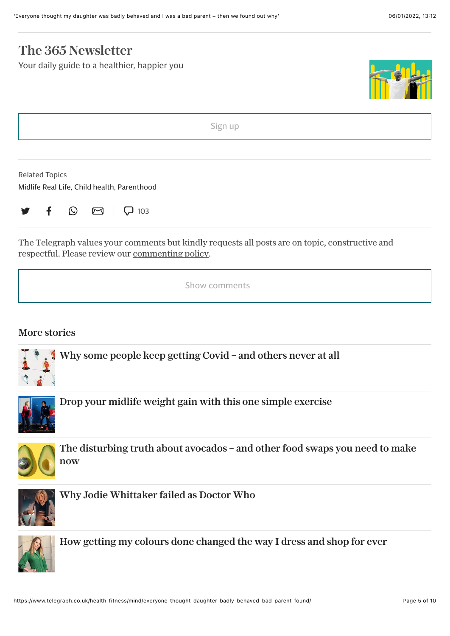## **The 365 Newsletter**

Your daily guide to a healthier, happier you

Sign up

Related Topics

[Midlife Real Life,](https://www.telegraph.co.uk/midlife-real-life/) [Child health,](https://www.telegraph.co.uk/child-health/) [Parenthood](https://www.telegraph.co.uk/parenthood/)

| V |  | $\uparrow$ 0 $\boxtimes$ 0 $\Box$ 103 |
|---|--|---------------------------------------|
|   |  |                                       |

<span id="page-4-0"></span>The Telegraph values your comments but kindly requests all posts are on topic, constructive and respectful. Please review our [commenting policy](https://www.telegraph.co.uk/commenting-policy/).

Show comments

#### More stories



[Why some people keep getting Covid – and others never at all](https://www.telegraph.co.uk/health-fitness/body/people-keep-getting-covid-others-never/?li_source=LI&li_medium=liftigniter-rhr)



[Drop your midlife weight gain with this one simple exercise](https://www.telegraph.co.uk/health-fitness/body/drop-midlife-weight-gain-one-simple-exercise/?li_source=LI&li_medium=liftigniter-rhr)



[The disturbing truth about avocados – and other food swaps you need to make](https://www.telegraph.co.uk/food-and-drink/features/disturbing-truth-avocados-food-swaps-need-make-now/?li_source=LI&li_medium=liftigniter-rhr) now



[Why Jodie Whittaker failed as Doctor Who](https://www.telegraph.co.uk/tv/0/jodie-whittaker-failed-doctor/?li_source=LI&li_medium=liftigniter-rhr)



[How getting my colours done changed the way I dress and shop for ever](https://www.telegraph.co.uk/fashion/style/getting-colours-done-changed-way-dress-shop-ever/?li_source=LI&li_medium=liftigniter-rhr)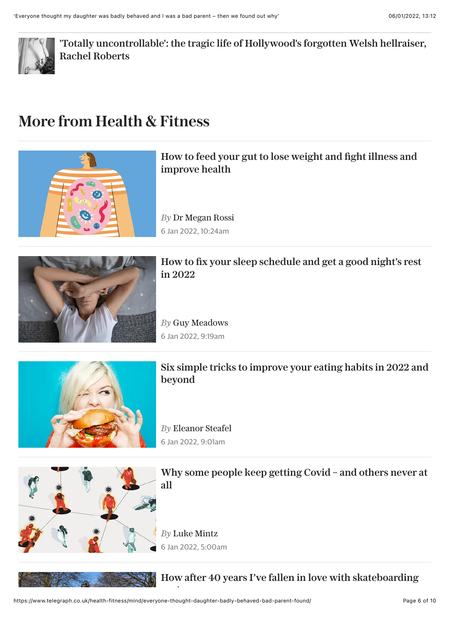

['Totally uncontrollable': the tragic life of Hollywood's forgotten Welsh hellraiser,](https://www.telegraph.co.uk/books/what-to-read/totally-uncontrollable-tragic-life-hollywoods-forgotten-welsh/?li_source=LI&li_medium=liftigniter-rhr) Rachel Roberts

# **More from Health & Fitness**



How to feed your gut to lose weight and fight illness and improve health

6 Jan 2022, 10:24am *By* [Dr Megan Rossi](https://www.telegraph.co.uk/authors/m/ma-me/megan-rossi/)



[How to Fx your sleep schedule and get a good night's rest](https://www.telegraph.co.uk/health-fitness/body/how-to-fix-sleep-schedule-get-good-nights-rest-new-year-2022/) in 2022

6 Jan 2022, 9:19am *By* [Guy Meadows](https://www.telegraph.co.uk/authors/g/gu-gz/guy-meadows/)



[Six simple tricks to improve your eating habits in 2022 and](https://www.telegraph.co.uk/health-fitness/mind/new-year-tips-tricks-reset-relationship-food-eating-habits-diet-nutrition-2022/) beyond

6 Jan 2022, 9:01am *By* [Eleanor Steafel](https://www.telegraph.co.uk/authors/e/ek-eo/eleanor-steafel/)



[Why some people keep getting Covid – and others never at](https://www.telegraph.co.uk/health-fitness/body/people-keep-getting-covid-others-never/) all

6 Jan 2022, 5:00am *By* [Luke Mintz](https://www.telegraph.co.uk/authors/l/lu-lz/luke-mintz/)



[How after 40 years I've fallen in love with skateboarding](https://www.telegraph.co.uk/health-fitness/body/40-years-fallen-love-skateboarding/)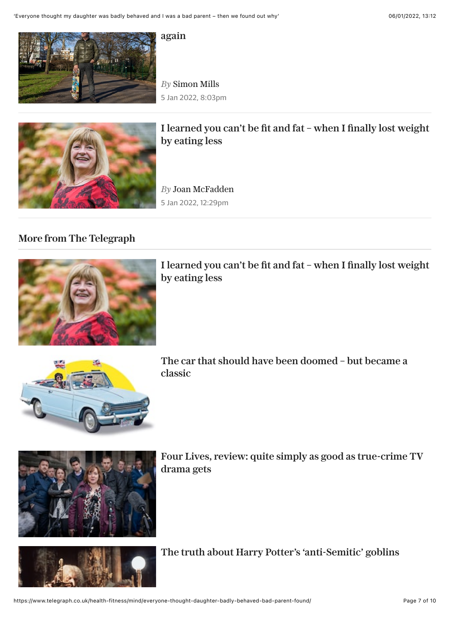

again

[5 Jan 2022, 8:03pm](https://www.telegraph.co.uk/health-fitness/body/40-years-fallen-love-skateboarding/) *By* [Simon Mills](https://www.telegraph.co.uk/authors/s/sf-sj/simon-mills/)



I learned you can't be fit and fat – when I finally lost weight by eating less

5 Jan 2022, 12:29pm *By* [Joan McFadden](https://www.telegraph.co.uk/authors/j/jk-jo/joan-mcfadden/)

## **More from The Telegraph**



I learned you can't be fit and fat - when I finally lost weight by eating less



[The car that should have been doomed – but became a](https://www.telegraph.co.uk/cars/features/car-should-have-doomed-became-classic/?li_source=LI&li_medium=liftigniter-onward-journey) classic



[Four Lives, review: quite simply as good as true-crime TV](https://www.telegraph.co.uk/tv/2022/01/03/four-lives-review-quite-simply-good-true-crime-tv-drama-gets/?li_source=LI&li_medium=liftigniter-onward-journey) drama gets



[The truth about Harry Potter's 'anti-Semitic' goblins](https://www.telegraph.co.uk/films/0/truth-harry-potters-anti-semitic-goblins/?li_source=LI&li_medium=liftigniter-onward-journey)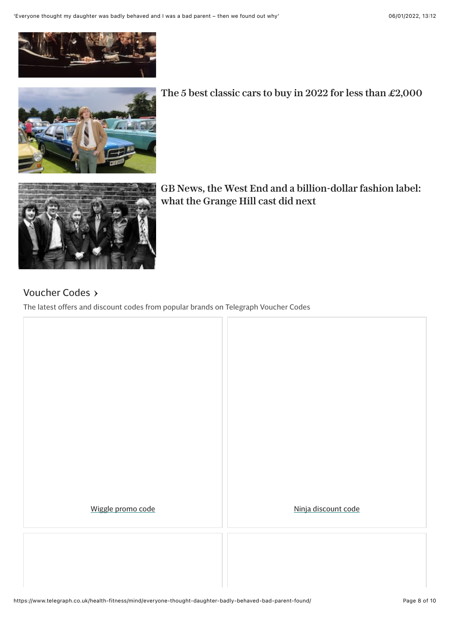



The 5 best classic cars to buy in 2022 for less than  $£2,000$ 



[GB News, the West End and a billion-dollar fashion label:](https://www.telegraph.co.uk/tv/0/gb-news-west-end-billion-dollar-fashion-label-cast-grange-hill/?li_source=LI&li_medium=liftigniter-onward-journey) what the Grange Hill cast did next

### [Voucher Codes](https://www.telegraph.co.uk/vouchercodes)

The latest offers and discount codes from popular brands on Telegraph Voucher Codes

| Wiggle promo code | Ninja discount code |
|-------------------|---------------------|
|                   |                     |
|                   |                     |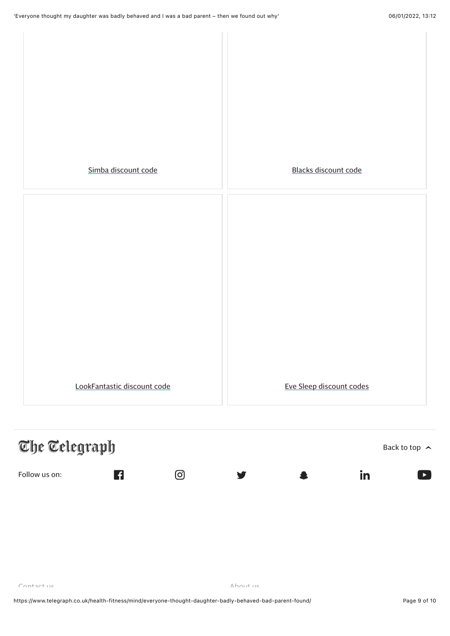